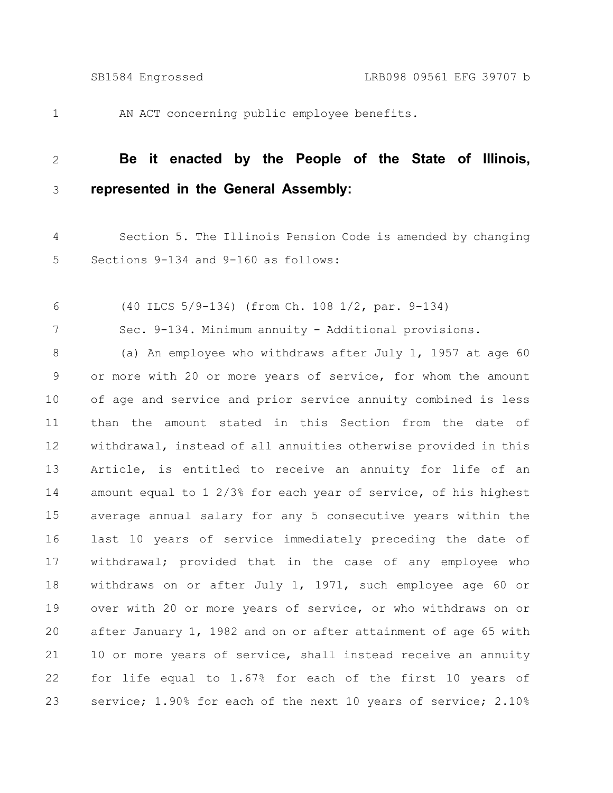1

AN ACT concerning public employee benefits.

## **Be it enacted by the People of the State of Illinois, represented in the General Assembly:** 2 3

- Section 5. The Illinois Pension Code is amended by changing Sections 9-134 and 9-160 as follows: 4 5
- (40 ILCS 5/9-134) (from Ch. 108 1/2, par. 9-134) 6

Sec. 9-134. Minimum annuity - Additional provisions. 7

(a) An employee who withdraws after July 1, 1957 at age 60 or more with 20 or more years of service, for whom the amount of age and service and prior service annuity combined is less than the amount stated in this Section from the date of withdrawal, instead of all annuities otherwise provided in this Article, is entitled to receive an annuity for life of an amount equal to 1 2/3% for each year of service, of his highest average annual salary for any 5 consecutive years within the last 10 years of service immediately preceding the date of withdrawal; provided that in the case of any employee who withdraws on or after July 1, 1971, such employee age 60 or over with 20 or more years of service, or who withdraws on or after January 1, 1982 and on or after attainment of age 65 with 10 or more years of service, shall instead receive an annuity for life equal to 1.67% for each of the first 10 years of service; 1.90% for each of the next 10 years of service; 2.10% 8 9 10 11 12 13 14 15 16 17 18 19 20 21 22 23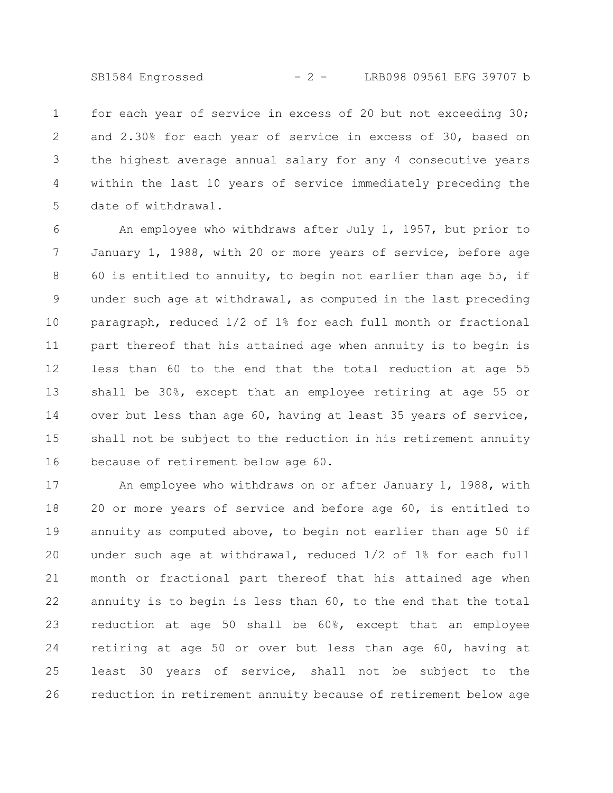SB1584 Engrossed - 2 - LRB098 09561 EFG 39707 b

for each year of service in excess of 20 but not exceeding 30; and 2.30% for each year of service in excess of 30, based on the highest average annual salary for any 4 consecutive years within the last 10 years of service immediately preceding the date of withdrawal. 1 2 3 4 5

An employee who withdraws after July 1, 1957, but prior to January 1, 1988, with 20 or more years of service, before age 60 is entitled to annuity, to begin not earlier than age 55, if under such age at withdrawal, as computed in the last preceding paragraph, reduced 1/2 of 1% for each full month or fractional part thereof that his attained age when annuity is to begin is less than 60 to the end that the total reduction at age 55 shall be 30%, except that an employee retiring at age 55 or over but less than age 60, having at least 35 years of service, shall not be subject to the reduction in his retirement annuity because of retirement below age 60. 6 7 8 9 10 11 12 13 14 15 16

An employee who withdraws on or after January 1, 1988, with 20 or more years of service and before age 60, is entitled to annuity as computed above, to begin not earlier than age 50 if under such age at withdrawal, reduced 1/2 of 1% for each full month or fractional part thereof that his attained age when annuity is to begin is less than 60, to the end that the total reduction at age 50 shall be 60%, except that an employee retiring at age 50 or over but less than age 60, having at least 30 years of service, shall not be subject to the reduction in retirement annuity because of retirement below age 17 18 19 20 21 22 23 24 25 26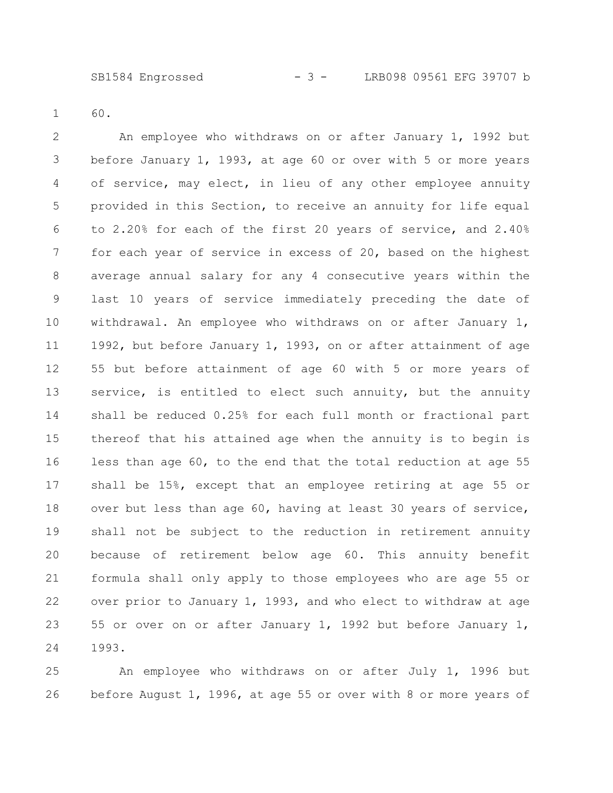60. 1

An employee who withdraws on or after January 1, 1992 but before January 1, 1993, at age 60 or over with 5 or more years of service, may elect, in lieu of any other employee annuity provided in this Section, to receive an annuity for life equal to 2.20% for each of the first 20 years of service, and 2.40% for each year of service in excess of 20, based on the highest average annual salary for any 4 consecutive years within the last 10 years of service immediately preceding the date of withdrawal. An employee who withdraws on or after January 1, 1992, but before January 1, 1993, on or after attainment of age 55 but before attainment of age 60 with 5 or more years of service, is entitled to elect such annuity, but the annuity shall be reduced 0.25% for each full month or fractional part thereof that his attained age when the annuity is to begin is less than age 60, to the end that the total reduction at age 55 shall be 15%, except that an employee retiring at age 55 or over but less than age 60, having at least 30 years of service, shall not be subject to the reduction in retirement annuity because of retirement below age 60. This annuity benefit formula shall only apply to those employees who are age 55 or over prior to January 1, 1993, and who elect to withdraw at age 55 or over on or after January 1, 1992 but before January 1, 1993. 2 3 4 5 6 7 8 9 10 11 12 13 14 15 16 17 18 19 20 21 22 23 24

An employee who withdraws on or after July 1, 1996 but before August 1, 1996, at age 55 or over with 8 or more years of 25 26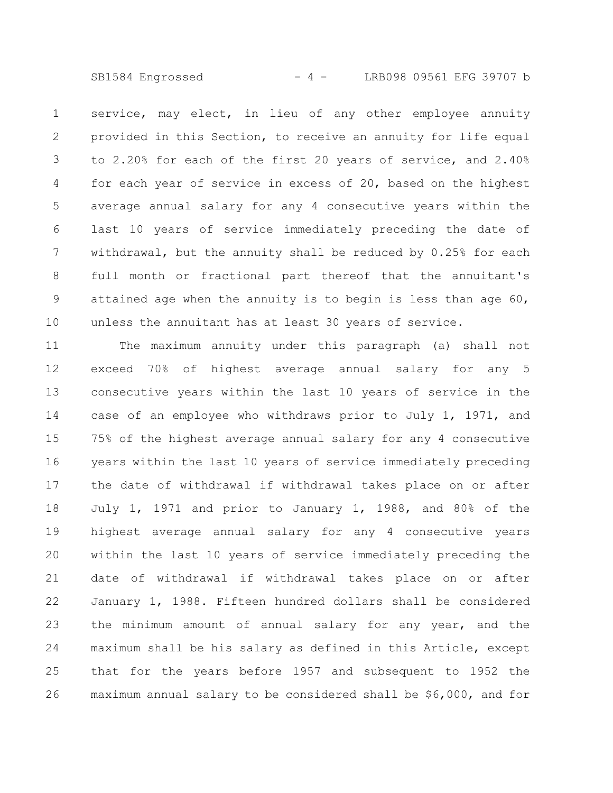SB1584 Engrossed - 4 - LRB098 09561 EFG 39707 b

service, may elect, in lieu of any other employee annuity provided in this Section, to receive an annuity for life equal to 2.20% for each of the first 20 years of service, and 2.40% for each year of service in excess of 20, based on the highest average annual salary for any 4 consecutive years within the last 10 years of service immediately preceding the date of withdrawal, but the annuity shall be reduced by 0.25% for each full month or fractional part thereof that the annuitant's attained age when the annuity is to begin is less than age  $60$ , unless the annuitant has at least 30 years of service. 1 2 3 4 5 6 7 8 9 10

The maximum annuity under this paragraph (a) shall not exceed 70% of highest average annual salary for any 5 consecutive years within the last 10 years of service in the case of an employee who withdraws prior to July 1, 1971, and 75% of the highest average annual salary for any 4 consecutive years within the last 10 years of service immediately preceding the date of withdrawal if withdrawal takes place on or after July 1, 1971 and prior to January 1, 1988, and 80% of the highest average annual salary for any 4 consecutive years within the last 10 years of service immediately preceding the date of withdrawal if withdrawal takes place on or after January 1, 1988. Fifteen hundred dollars shall be considered the minimum amount of annual salary for any year, and the maximum shall be his salary as defined in this Article, except that for the years before 1957 and subsequent to 1952 the maximum annual salary to be considered shall be \$6,000, and for 11 12 13 14 15 16 17 18 19 20 21 22 23 24 25 26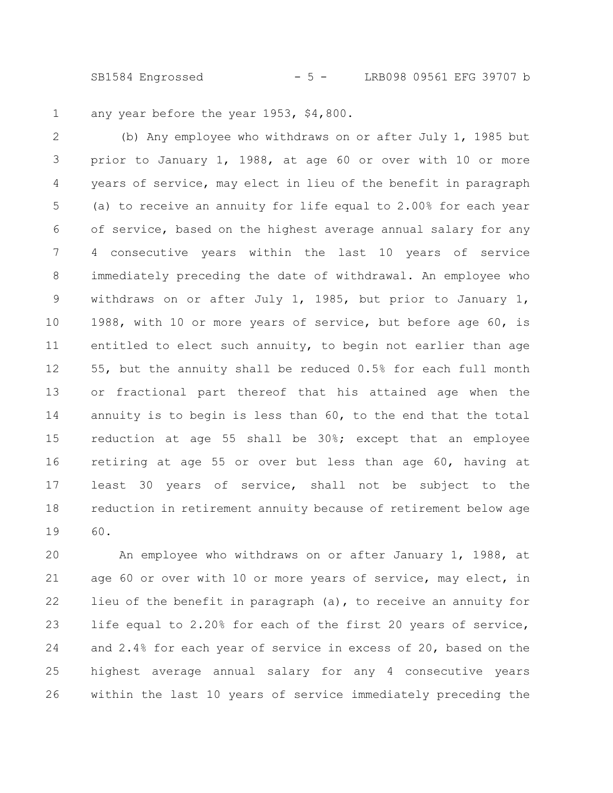SB1584 Engrossed - 5 - LRB098 09561 EFG 39707 b

any year before the year 1953, \$4,800. 1

(b) Any employee who withdraws on or after July 1, 1985 but prior to January 1, 1988, at age 60 or over with 10 or more years of service, may elect in lieu of the benefit in paragraph (a) to receive an annuity for life equal to 2.00% for each year of service, based on the highest average annual salary for any 4 consecutive years within the last 10 years of service immediately preceding the date of withdrawal. An employee who withdraws on or after July 1, 1985, but prior to January 1, 1988, with 10 or more years of service, but before age 60, is entitled to elect such annuity, to begin not earlier than age 55, but the annuity shall be reduced 0.5% for each full month or fractional part thereof that his attained age when the annuity is to begin is less than 60, to the end that the total reduction at age 55 shall be 30%; except that an employee retiring at age 55 or over but less than age 60, having at least 30 years of service, shall not be subject to the reduction in retirement annuity because of retirement below age 60. 2 3 4 5 6 7 8 9 10 11 12 13 14 15 16 17 18 19

An employee who withdraws on or after January 1, 1988, at age 60 or over with 10 or more years of service, may elect, in lieu of the benefit in paragraph (a), to receive an annuity for life equal to 2.20% for each of the first 20 years of service, and 2.4% for each year of service in excess of 20, based on the highest average annual salary for any 4 consecutive years within the last 10 years of service immediately preceding the 20 21 22 23 24 25 26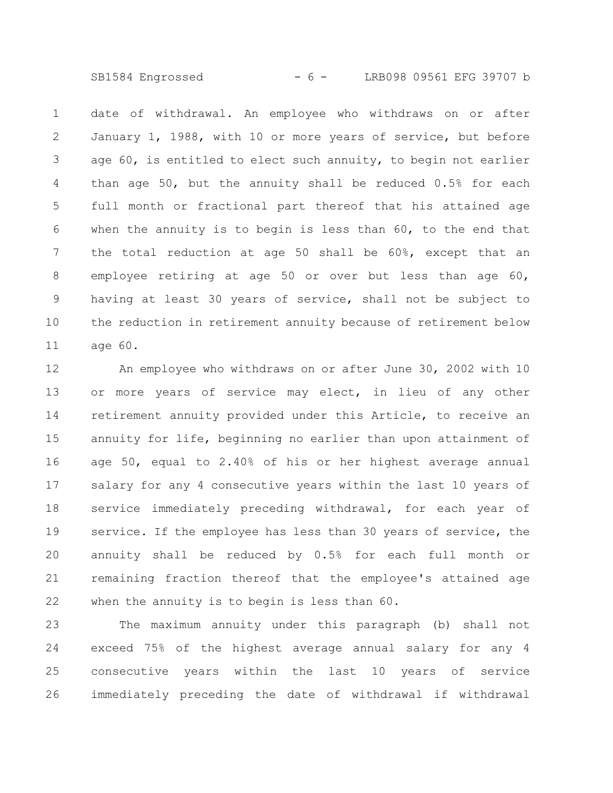SB1584 Engrossed - 6 - LRB098 09561 EFG 39707 b

date of withdrawal. An employee who withdraws on or after January 1, 1988, with 10 or more years of service, but before age 60, is entitled to elect such annuity, to begin not earlier than age 50, but the annuity shall be reduced 0.5% for each full month or fractional part thereof that his attained age when the annuity is to begin is less than 60, to the end that the total reduction at age 50 shall be 60%, except that an employee retiring at age 50 or over but less than age 60, having at least 30 years of service, shall not be subject to the reduction in retirement annuity because of retirement below age 60. 1 2 3 4 5 6 7 8 9 10 11

An employee who withdraws on or after June 30, 2002 with 10 or more years of service may elect, in lieu of any other retirement annuity provided under this Article, to receive an annuity for life, beginning no earlier than upon attainment of age 50, equal to 2.40% of his or her highest average annual salary for any 4 consecutive years within the last 10 years of service immediately preceding withdrawal, for each year of service. If the employee has less than 30 years of service, the annuity shall be reduced by 0.5% for each full month or remaining fraction thereof that the employee's attained age when the annuity is to begin is less than 60. 12 13 14 15 16 17 18 19 20 21 22

The maximum annuity under this paragraph (b) shall not exceed 75% of the highest average annual salary for any 4 consecutive years within the last 10 years of service immediately preceding the date of withdrawal if withdrawal 23 24 25 26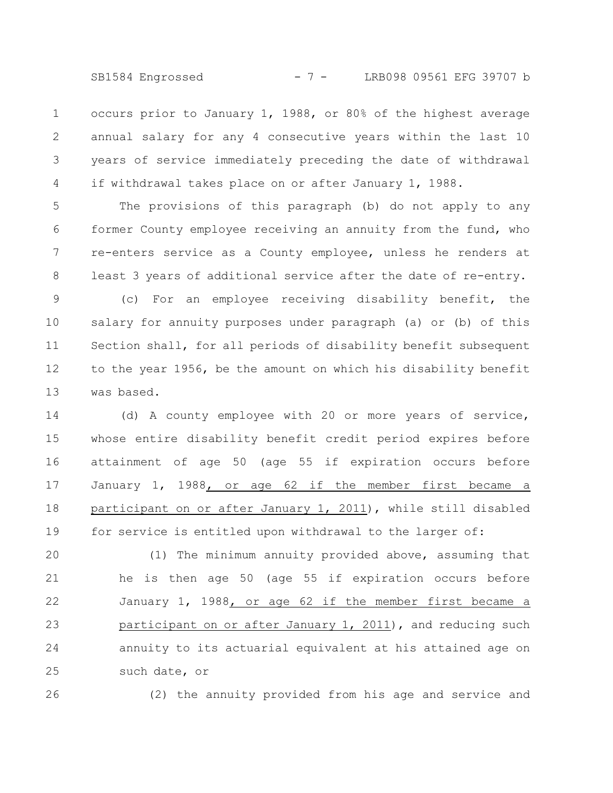SB1584 Engrossed - 7 - LRB098 09561 EFG 39707 b

occurs prior to January 1, 1988, or 80% of the highest average annual salary for any 4 consecutive years within the last 10 years of service immediately preceding the date of withdrawal if withdrawal takes place on or after January 1, 1988. 1 2 3 4

The provisions of this paragraph (b) do not apply to any former County employee receiving an annuity from the fund, who re-enters service as a County employee, unless he renders at least 3 years of additional service after the date of re-entry. (c) For an employee receiving disability benefit, the salary for annuity purposes under paragraph (a) or (b) of this Section shall, for all periods of disability benefit subsequent to the year 1956, be the amount on which his disability benefit 5 6 7 8 9 10 11 12

was based. 13

(d) A county employee with 20 or more years of service, whose entire disability benefit credit period expires before attainment of age 50 (age 55 if expiration occurs before January 1, 1988, or age 62 if the member first became a participant on or after January 1, 2011), while still disabled for service is entitled upon withdrawal to the larger of: 14 15 16 17 18 19

(1) The minimum annuity provided above, assuming that he is then age 50 (age 55 if expiration occurs before January 1, 1988, or age 62 if the member first became a participant on or after January 1, 2011), and reducing such annuity to its actuarial equivalent at his attained age on such date, or 20 21 22 23 24 25

26

(2) the annuity provided from his age and service and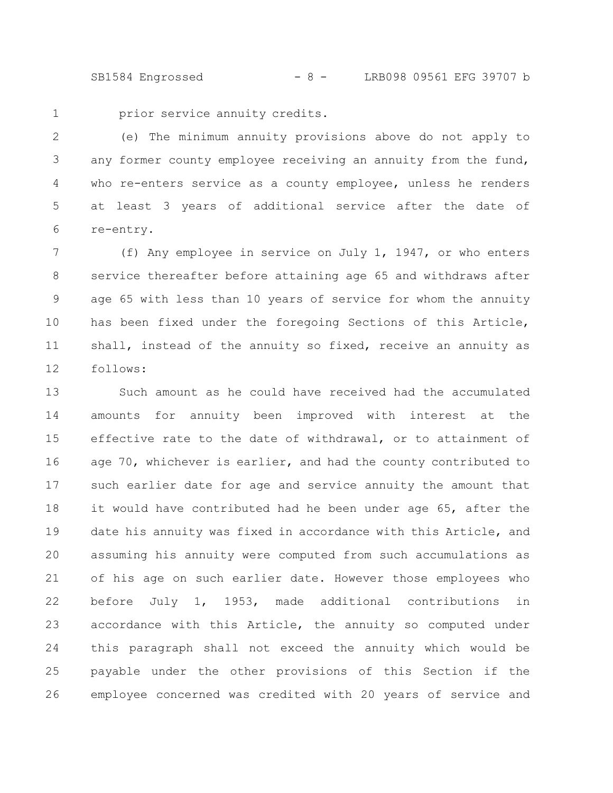SB1584 Engrossed - 8 - LRB098 09561 EFG 39707 b

1

prior service annuity credits.

(e) The minimum annuity provisions above do not apply to any former county employee receiving an annuity from the fund, who re-enters service as a county employee, unless he renders at least 3 years of additional service after the date of re-entry. 2 3 4 5 6

(f) Any employee in service on July 1, 1947, or who enters service thereafter before attaining age 65 and withdraws after age 65 with less than 10 years of service for whom the annuity has been fixed under the foregoing Sections of this Article, shall, instead of the annuity so fixed, receive an annuity as follows: 7 8 9 10 11 12

Such amount as he could have received had the accumulated amounts for annuity been improved with interest at the effective rate to the date of withdrawal, or to attainment of age 70, whichever is earlier, and had the county contributed to such earlier date for age and service annuity the amount that it would have contributed had he been under age 65, after the date his annuity was fixed in accordance with this Article, and assuming his annuity were computed from such accumulations as of his age on such earlier date. However those employees who before July 1, 1953, made additional contributions in accordance with this Article, the annuity so computed under this paragraph shall not exceed the annuity which would be payable under the other provisions of this Section if the employee concerned was credited with 20 years of service and 13 14 15 16 17 18 19 20 21 22 23 24 25 26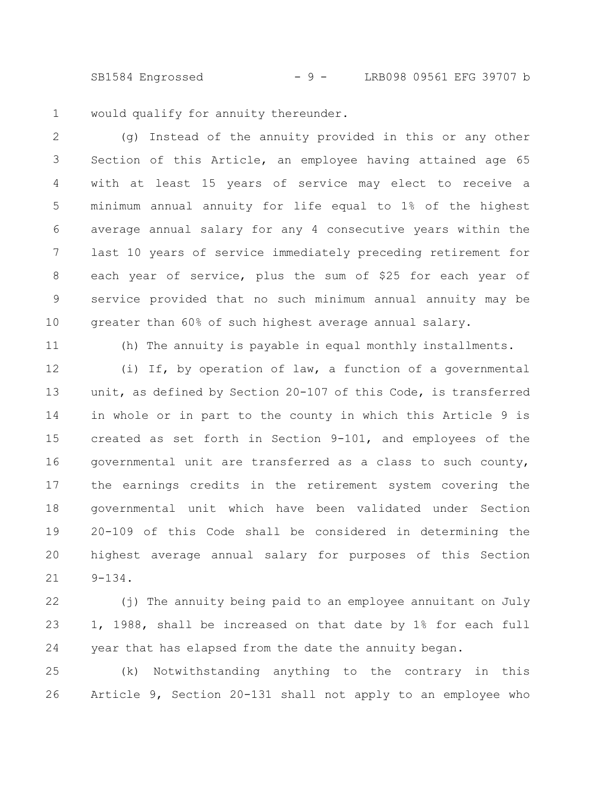SB1584 Engrossed - 9 - LRB098 09561 EFG 39707 b

would qualify for annuity thereunder. 1

(g) Instead of the annuity provided in this or any other Section of this Article, an employee having attained age 65 with at least 15 years of service may elect to receive a minimum annual annuity for life equal to 1% of the highest average annual salary for any 4 consecutive years within the last 10 years of service immediately preceding retirement for each year of service, plus the sum of \$25 for each year of service provided that no such minimum annual annuity may be greater than 60% of such highest average annual salary. 2 3 4 5 6 7 8 9 10

11

(h) The annuity is payable in equal monthly installments.

(i) If, by operation of law, a function of a governmental unit, as defined by Section 20-107 of this Code, is transferred in whole or in part to the county in which this Article 9 is created as set forth in Section 9-101, and employees of the governmental unit are transferred as a class to such county, the earnings credits in the retirement system covering the governmental unit which have been validated under Section 20-109 of this Code shall be considered in determining the highest average annual salary for purposes of this Section 9-134. 12 13 14 15 16 17 18 19 20 21

(j) The annuity being paid to an employee annuitant on July 1, 1988, shall be increased on that date by 1% for each full year that has elapsed from the date the annuity began. 22 23 24

(k) Notwithstanding anything to the contrary in this Article 9, Section 20-131 shall not apply to an employee who 25 26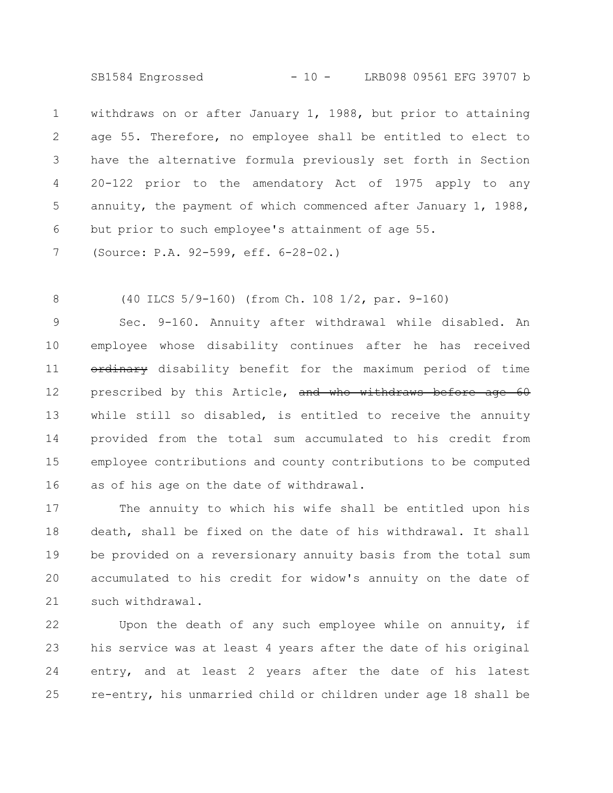SB1584 Engrossed - 10 - LRB098 09561 EFG 39707 b

withdraws on or after January 1, 1988, but prior to attaining age 55. Therefore, no employee shall be entitled to elect to have the alternative formula previously set forth in Section 20-122 prior to the amendatory Act of 1975 apply to any annuity, the payment of which commenced after January 1, 1988, but prior to such employee's attainment of age 55. 1 2 3 4 5 6

(Source: P.A. 92-599, eff. 6-28-02.) 7

(40 ILCS 5/9-160) (from Ch. 108 1/2, par. 9-160) 8

Sec. 9-160. Annuity after withdrawal while disabled. An employee whose disability continues after he has received ordinary disability benefit for the maximum period of time prescribed by this Article, and who withdraws before age 60 while still so disabled, is entitled to receive the annuity provided from the total sum accumulated to his credit from employee contributions and county contributions to be computed as of his age on the date of withdrawal. 9 10 11 12 13 14 15 16

The annuity to which his wife shall be entitled upon his death, shall be fixed on the date of his withdrawal. It shall be provided on a reversionary annuity basis from the total sum accumulated to his credit for widow's annuity on the date of such withdrawal. 17 18 19 20 21

Upon the death of any such employee while on annuity, if his service was at least 4 years after the date of his original entry, and at least 2 years after the date of his latest re-entry, his unmarried child or children under age 18 shall be 22 23 24 25